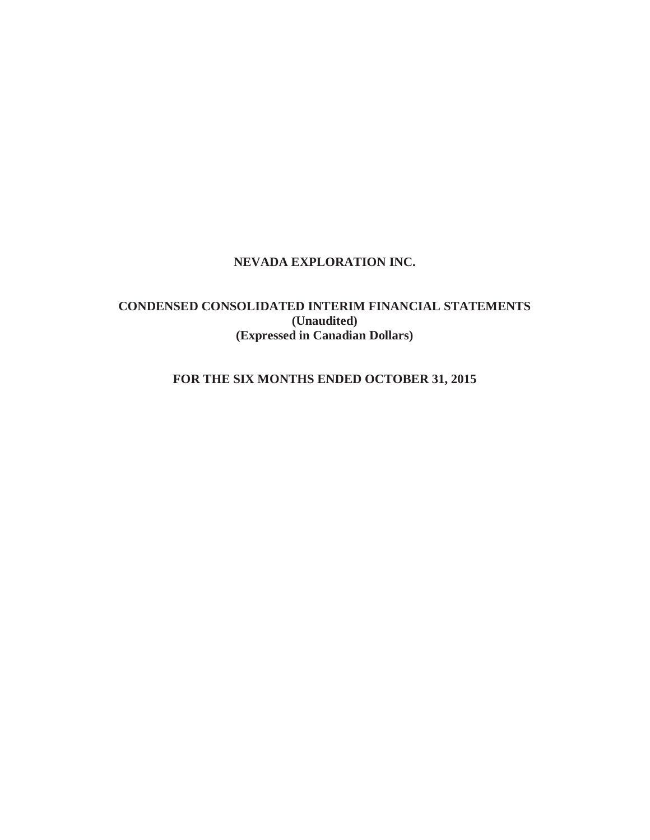# **NEVADA EXPLORATION INC.**

# **CONDENSED CONSOLIDATED INTERIM FINANCIAL STATEMENTS (Unaudited) (Expressed in Canadian Dollars)**

# **FOR THE SIX MONTHS ENDED OCTOBER 31, 2015**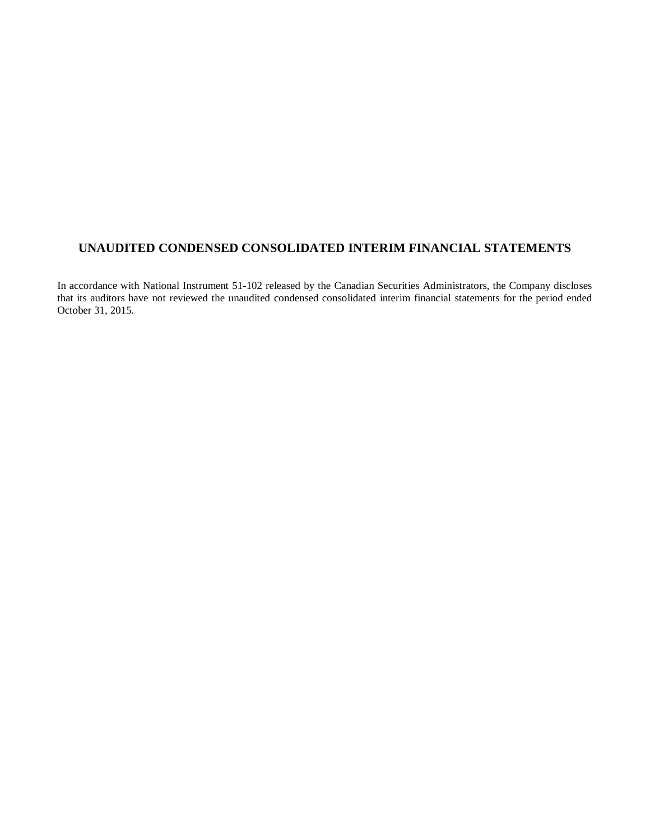# **UNAUDITED CONDENSED CONSOLIDATED INTERIM FINANCIAL STATEMENTS**

In accordance with National Instrument 51-102 released by the Canadian Securities Administrators, the Company discloses that its auditors have not reviewed the unaudited condensed consolidated interim financial statements for the period ended October 31, 2015.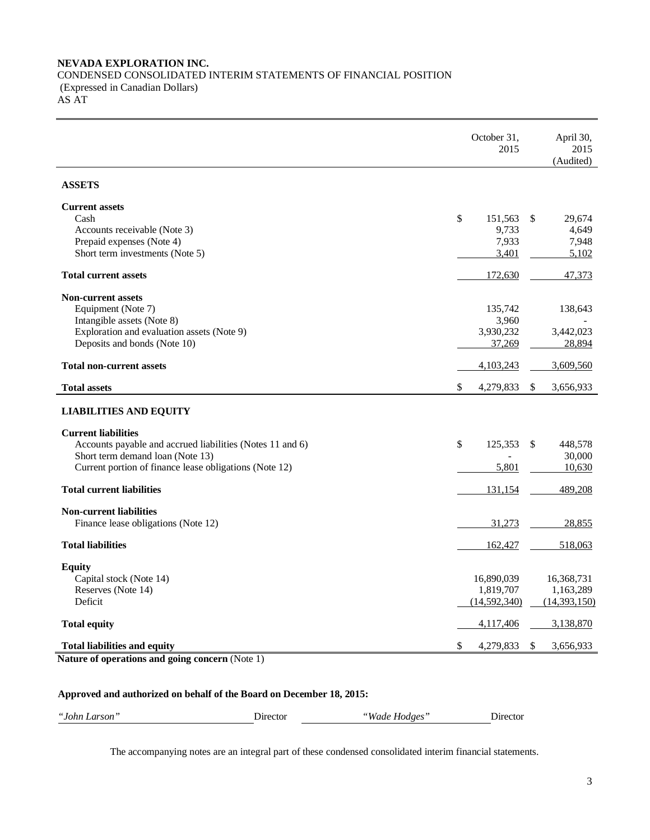### **NEVADA EXPLORATION INC.** CONDENSED CONSOLIDATED INTERIM STATEMENTS OF FINANCIAL POSITION (Expressed in Canadian Dollars) AS AT

|                                                                            | October 31,<br>2015 | April 30,<br>2015<br>(Audited) |
|----------------------------------------------------------------------------|---------------------|--------------------------------|
| <b>ASSETS</b>                                                              |                     |                                |
| <b>Current assets</b>                                                      |                     |                                |
| Cash                                                                       | \$<br>151,563       | \$<br>29,674                   |
| Accounts receivable (Note 3)<br>Prepaid expenses (Note 4)                  | 9,733<br>7,933      | 4,649<br>7,948                 |
| Short term investments (Note 5)                                            | 3,401               | 5,102                          |
| <b>Total current assets</b>                                                | 172,630             | 47,373                         |
| <b>Non-current assets</b>                                                  |                     |                                |
| Equipment (Note 7)                                                         | 135,742             | 138,643                        |
| Intangible assets (Note 8)                                                 | 3,960               |                                |
| Exploration and evaluation assets (Note 9)<br>Deposits and bonds (Note 10) | 3,930,232<br>37,269 | 3,442,023<br>28,894            |
|                                                                            |                     |                                |
| <b>Total non-current assets</b>                                            | 4,103,243           | 3,609,560                      |
| <b>Total assets</b>                                                        | \$<br>4,279,833     | \$<br>3,656,933                |
| <b>LIABILITIES AND EQUITY</b>                                              |                     |                                |
| <b>Current liabilities</b>                                                 |                     |                                |
| Accounts payable and accrued liabilities (Notes 11 and 6)                  | \$<br>125,353       | 448,578<br>\$                  |
| Short term demand loan (Note 13)                                           |                     | 30,000                         |
| Current portion of finance lease obligations (Note 12)                     | 5,801               | 10,630                         |
| <b>Total current liabilities</b>                                           | 131,154             | 489,208                        |
| <b>Non-current liabilities</b>                                             |                     |                                |
| Finance lease obligations (Note 12)                                        | 31,273              | 28,855                         |
| <b>Total liabilities</b>                                                   | 162,427             | 518,063                        |
| <b>Equity</b>                                                              |                     |                                |
| Capital stock (Note 14)                                                    | 16,890,039          | 16,368,731                     |
| Reserves (Note 14)                                                         | 1,819,707           | 1,163,289                      |
| Deficit                                                                    | (14,592,340)        | (14,393,150)                   |
| <b>Total equity</b>                                                        | 4,117,406           | 3,138,870                      |
| <b>Total liabilities and equity</b>                                        | \$<br>4,279,833     | 3,656,933<br>\$                |
| Nature of operations and going concern (Note 1)                            |                     |                                |

## **Approved and authorized on behalf of the Board on December 18, 2015:**

| "John"<br>Larson | $hr\alpha$ | $Wade$ .<br>Hodges |  |
|------------------|------------|--------------------|--|
|                  |            |                    |  |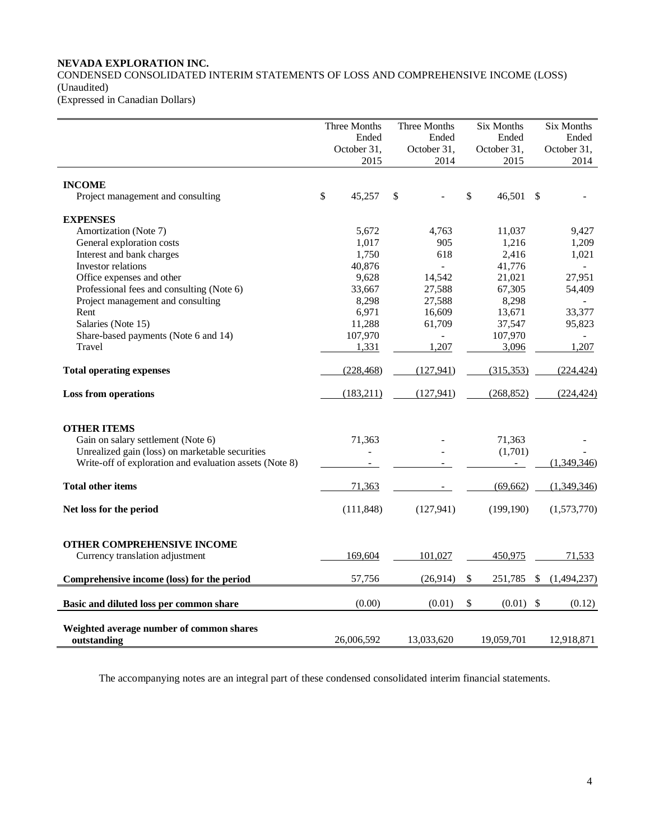### **NEVADA EXPLORATION INC.**

CONDENSED CONSOLIDATED INTERIM STATEMENTS OF LOSS AND COMPREHENSIVE INCOME (LOSS) (Unaudited)

(Expressed in Canadian Dollars)

|                                                                      | Three Months<br>Ended | Three Months        | Six Months<br>Ended<br>Ended |                     |    | Six Months<br>Ended |
|----------------------------------------------------------------------|-----------------------|---------------------|------------------------------|---------------------|----|---------------------|
|                                                                      | October 31,<br>2015   | October 31,<br>2014 |                              | October 31,<br>2015 |    | October 31,<br>2014 |
| <b>INCOME</b>                                                        |                       |                     |                              |                     |    |                     |
| Project management and consulting                                    | \$<br>45,257          | \$                  | \$                           | 46,501 \$           |    |                     |
| <b>EXPENSES</b>                                                      |                       |                     |                              |                     |    |                     |
| Amortization (Note 7)                                                | 5,672                 | 4,763               |                              | 11,037              |    | 9,427               |
| General exploration costs                                            | 1,017                 | 905                 |                              | 1,216               |    | 1,209               |
| Interest and bank charges                                            | 1,750                 | 618                 |                              | 2,416               |    | 1,021               |
| Investor relations                                                   | 40,876                | $\mathbf{L}$        |                              | 41,776              |    |                     |
| Office expenses and other                                            | 9,628                 | 14,542              |                              | 21,021              |    | 27,951              |
| Professional fees and consulting (Note 6)                            | 33,667                | 27,588              |                              | 67,305              |    | 54,409              |
| Project management and consulting                                    | 8,298                 | 27,588              |                              | 8,298               |    |                     |
| Rent                                                                 | 6,971                 | 16,609              |                              | 13,671              |    | 33,377              |
| Salaries (Note 15)                                                   | 11,288                | 61,709              |                              | 37,547              |    | 95,823              |
| Share-based payments (Note 6 and 14)                                 | 107,970               |                     |                              | 107,970             |    |                     |
| Travel                                                               | 1,331                 | 1,207               |                              | 3,096               |    | 1,207               |
| <b>Total operating expenses</b>                                      | (228, 468)            | (127, 941)          |                              | (315, 353)          |    | (224, 424)          |
| <b>Loss from operations</b>                                          | (183,211)             | (127, 941)          |                              | (268, 852)          |    | (224, 424)          |
| <b>OTHER ITEMS</b>                                                   |                       |                     |                              |                     |    |                     |
| Gain on salary settlement (Note 6)                                   | 71,363                |                     |                              | 71,363              |    |                     |
| Unrealized gain (loss) on marketable securities                      |                       |                     |                              | (1,701)             |    |                     |
| Write-off of exploration and evaluation assets (Note 8)              |                       |                     |                              |                     |    | (1,349,346)         |
| <b>Total other items</b>                                             | 71,363                |                     |                              | (69, 662)           |    | (1,349,346)         |
| Net loss for the period                                              | (111, 848)            | (127, 941)          |                              | (199, 190)          |    | (1,573,770)         |
|                                                                      |                       |                     |                              |                     |    |                     |
| <b>OTHER COMPREHENSIVE INCOME</b><br>Currency translation adjustment | 169,604               | 101,027             |                              | 450,975             |    | 71,533              |
|                                                                      |                       |                     |                              |                     |    |                     |
| Comprehensive income (loss) for the period                           | 57,756                | (26,914)            | \$                           | 251,785             | \$ | (1,494,237)         |
| Basic and diluted loss per common share                              | (0.00)                | (0.01)              | \$                           | (0.01)              | \$ | (0.12)              |
| Weighted average number of common shares<br>outstanding              | 26,006,592            | 13,033,620          |                              | 19,059,701          |    | 12,918,871          |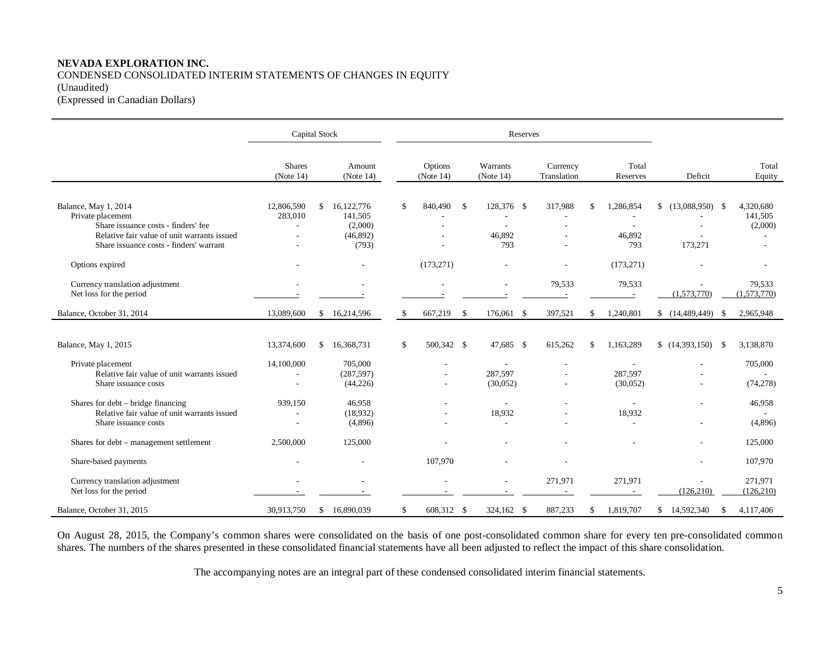### **NEVADA EXPLORATION INC.** CONDENSED CONSOLIDATED INTERIM STATEMENTS OF CHANGES IN EQUITY (Unaudited) (Expressed in Canadian Dollars)

|                                                                                                                                                                            |                                                          | <b>Capital Stock</b> |                                                       |    | Reserves             |              |                             |      |                                     |                                  |                                            |                                 |  |  |  |  |
|----------------------------------------------------------------------------------------------------------------------------------------------------------------------------|----------------------------------------------------------|----------------------|-------------------------------------------------------|----|----------------------|--------------|-----------------------------|------|-------------------------------------|----------------------------------|--------------------------------------------|---------------------------------|--|--|--|--|
|                                                                                                                                                                            | <b>Shares</b><br>(Note 14)                               |                      | Amount<br>(Note 14)                                   |    | Options<br>(Note 14) |              | Warrants<br>(Note 14)       |      | Currency<br>Translation             | Total<br>Reserves                | Deficit                                    | Total<br>Equity                 |  |  |  |  |
| Balance, May 1, 2014<br>Private placement<br>Share issuance costs - finders' fee<br>Relative fair value of unit warrants issued<br>Share issuance costs - finders' warrant | 12,806,590<br>283,010<br>$\sim$                          | \$                   | 16,122,776<br>141,505<br>(2,000)<br>(46,892)<br>(793) | \$ | 840,490              | -S           | 128,376 \$<br>46,892<br>793 |      | 317,988<br>$\overline{\phantom{a}}$ | \$<br>1,286,854<br>46,892<br>793 | $(13,088,950)$ \$<br>\$<br>173,271         | 4,320,680<br>141,505<br>(2,000) |  |  |  |  |
| Options expired                                                                                                                                                            |                                                          |                      |                                                       |    | (173, 271)           |              | ÷,                          |      |                                     | (173, 271)                       |                                            |                                 |  |  |  |  |
| Currency translation adjustment<br>Net loss for the period                                                                                                                 |                                                          |                      |                                                       |    |                      |              |                             |      | 79,533                              | 79,533                           | (1,573,770)                                | 79,533<br>(1,573,770)           |  |  |  |  |
| Balance, October 31, 2014                                                                                                                                                  | 13,089,600                                               | \$                   | 16,214,596                                            | S. | 667,219              | $\mathbb{S}$ | 176,061                     | - \$ | 397,521                             | \$<br>1,240,801                  | (14, 489, 449)<br>- \$                     | 2,965,948                       |  |  |  |  |
| Balance, May 1, 2015                                                                                                                                                       | 13,374,600                                               | \$                   | 16,368,731                                            | \$ | 500,342 \$           |              | 47,685 \$                   |      | 615,262                             | \$<br>1,163,289                  | (14,393,150)<br>- \$                       | 3,138,870                       |  |  |  |  |
| Private placement<br>Relative fair value of unit warrants issued<br>Share issuance costs                                                                                   | 14,100,000<br>$\overline{a}$<br>$\overline{\phantom{a}}$ |                      | 705,000<br>(287, 597)<br>(44, 226)                    |    |                      |              | ٠<br>287,597<br>(30,052)    |      |                                     | 287,597<br>(30,052)              | $\overline{\phantom{a}}$<br>$\overline{a}$ | 705,000<br>(74, 278)            |  |  |  |  |
| Shares for debt – bridge financing<br>Relative fair value of unit warrants issued<br>Share issuance costs                                                                  | 939,150<br>$\sim$                                        |                      | 46,958<br>(18,932)<br>(4,896)                         |    |                      |              | ٠<br>18,932                 |      |                                     | 18,932                           |                                            | 46,958<br>(4,896)               |  |  |  |  |
| Shares for debt - management settlement                                                                                                                                    | 2,500,000                                                |                      | 125,000                                               |    |                      |              |                             |      |                                     |                                  |                                            | 125,000                         |  |  |  |  |
| Share-based payments                                                                                                                                                       |                                                          |                      |                                                       |    | 107,970              |              |                             |      |                                     |                                  | $\overline{\phantom{a}}$                   | 107,970                         |  |  |  |  |
| Currency translation adjustment<br>Net loss for the period                                                                                                                 |                                                          |                      |                                                       |    |                      |              | ٠                           |      | 271,971                             | 271,971                          | (126, 210)                                 | 271,971<br>(126, 210)           |  |  |  |  |
| Balance, October 31, 2015                                                                                                                                                  | 30,913,750                                               | \$                   | 16,890,039                                            | \$ | 608,312 \$           |              | 324,162 \$                  |      | 887,233                             | \$<br>1,819,707                  | 14,592,340<br>\$<br>-S                     | 4,117,406                       |  |  |  |  |

On August 28, 2015, the Company's common shares were consolidated on the basis of one post-consolidated common share for every ten pre-consolidated common shares. The numbers of the shares presented in these consolidated financial statements have all been adjusted to reflect the impact of this share consolidation.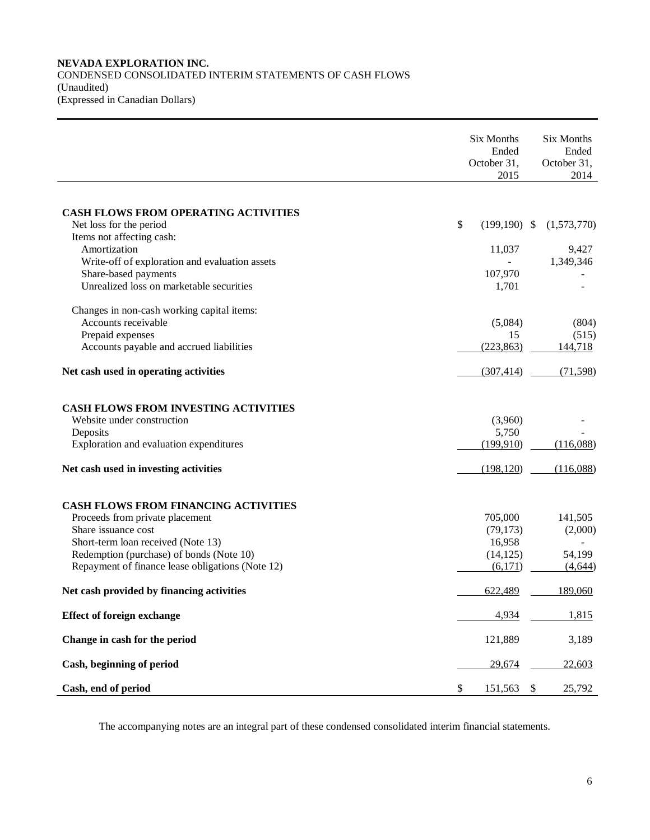### **NEVADA EXPLORATION INC.** CONDENSED CONSOLIDATED INTERIM STATEMENTS OF CASH FLOWS (Unaudited) (Expressed in Canadian Dollars)

|                                                                        | Six Months<br>Ended<br>October 31,<br>2015 | Six Months<br>Ended<br>October 31,<br>2014 |
|------------------------------------------------------------------------|--------------------------------------------|--------------------------------------------|
|                                                                        |                                            |                                            |
| <b>CASH FLOWS FROM OPERATING ACTIVITIES</b><br>Net loss for the period | \$<br>$(199, 190)$ \$                      | (1,573,770)                                |
| Items not affecting cash:                                              |                                            |                                            |
| Amortization                                                           | 11,037                                     | 9,427                                      |
| Write-off of exploration and evaluation assets<br>Share-based payments | 107,970                                    | 1,349,346                                  |
| Unrealized loss on marketable securities                               | 1,701                                      |                                            |
| Changes in non-cash working capital items:                             |                                            |                                            |
| Accounts receivable                                                    | (5,084)                                    | (804)                                      |
| Prepaid expenses                                                       | 15                                         | (515)                                      |
| Accounts payable and accrued liabilities                               | (223, 863)                                 | 144,718                                    |
| Net cash used in operating activities                                  | (307, 414)                                 | (71, 598)                                  |
| <b>CASH FLOWS FROM INVESTING ACTIVITIES</b>                            |                                            |                                            |
| Website under construction                                             | (3,960)                                    |                                            |
| Deposits                                                               | 5,750                                      |                                            |
| Exploration and evaluation expenditures                                | (199, 910)                                 | (116,088)                                  |
| Net cash used in investing activities                                  | (198, 120)                                 | (116,088)                                  |
| <b>CASH FLOWS FROM FINANCING ACTIVITIES</b>                            |                                            |                                            |
| Proceeds from private placement                                        | 705,000                                    | 141,505                                    |
| Share issuance cost                                                    | (79, 173)                                  | (2,000)                                    |
| Short-term loan received (Note 13)                                     | 16,958                                     |                                            |
| Redemption (purchase) of bonds (Note 10)                               | (14, 125)                                  | 54,199                                     |
| Repayment of finance lease obligations (Note 12)                       | (6,171)                                    | (4,644)                                    |
| Net cash provided by financing activities                              | 622,489                                    | 189,060                                    |
| <b>Effect of foreign exchange</b>                                      | 4,934                                      | 1,815                                      |
| Change in cash for the period                                          | 121,889                                    | 3,189                                      |
| Cash, beginning of period                                              | 29,674                                     | 22,603                                     |
| Cash, end of period                                                    | \$<br>151,563                              | \$<br>25,792                               |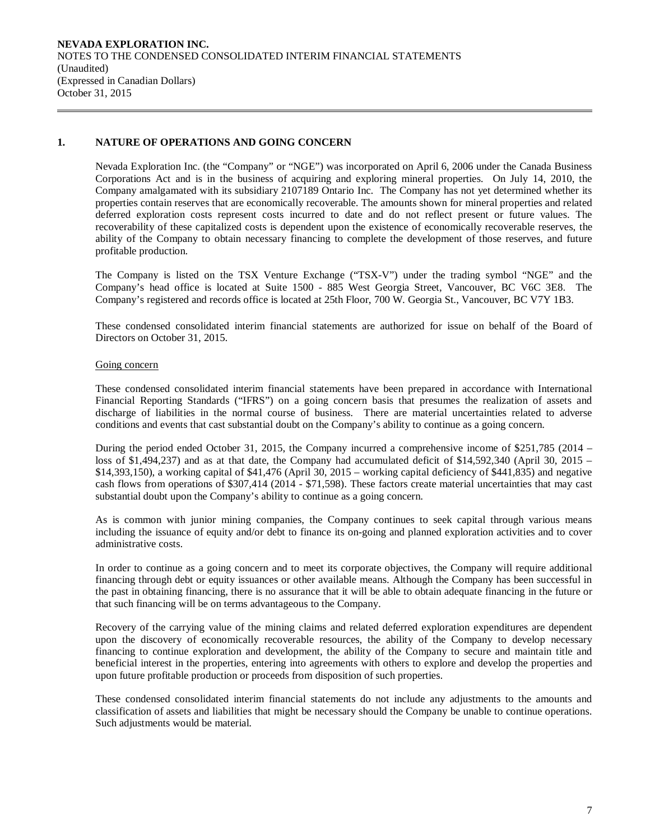**NEVADA EXPLORATION INC.**  NOTES TO THE CONDENSED CONSOLIDATED INTERIM FINANCIAL STATEMENTS (Unaudited) (Expressed in Canadian Dollars) October 31, 2015

### **1. NATURE OF OPERATIONS AND GOING CONCERN**

Nevada Exploration Inc. (the "Company" or "NGE") was incorporated on April 6, 2006 under the Canada Business Corporations Act and is in the business of acquiring and exploring mineral properties. On July 14, 2010, the Company amalgamated with its subsidiary 2107189 Ontario Inc. The Company has not yet determined whether its properties contain reserves that are economically recoverable. The amounts shown for mineral properties and related deferred exploration costs represent costs incurred to date and do not reflect present or future values. The recoverability of these capitalized costs is dependent upon the existence of economically recoverable reserves, the ability of the Company to obtain necessary financing to complete the development of those reserves, and future profitable production.

The Company is listed on the TSX Venture Exchange ("TSX-V") under the trading symbol "NGE" and the Company's head office is located at Suite 1500 - 885 West Georgia Street, Vancouver, BC V6C 3E8. The Company's registered and records office is located at 25th Floor, 700 W. Georgia St., Vancouver, BC V7Y 1B3.

These condensed consolidated interim financial statements are authorized for issue on behalf of the Board of Directors on October 31, 2015.

#### Going concern

These condensed consolidated interim financial statements have been prepared in accordance with International Financial Reporting Standards ("IFRS") on a going concern basis that presumes the realization of assets and discharge of liabilities in the normal course of business. There are material uncertainties related to adverse conditions and events that cast substantial doubt on the Company's ability to continue as a going concern.

During the period ended October 31, 2015, the Company incurred a comprehensive income of \$251,785 (2014 – loss of \$1,494,237) and as at that date, the Company had accumulated deficit of \$14,592,340 (April 30, 2015 – \$14,393,150), a working capital of \$41,476 (April 30, 2015 – working capital deficiency of \$441,835) and negative cash flows from operations of \$307,414 (2014 - \$71,598). These factors create material uncertainties that may cast substantial doubt upon the Company's ability to continue as a going concern.

As is common with junior mining companies, the Company continues to seek capital through various means including the issuance of equity and/or debt to finance its on-going and planned exploration activities and to cover administrative costs.

In order to continue as a going concern and to meet its corporate objectives, the Company will require additional financing through debt or equity issuances or other available means. Although the Company has been successful in the past in obtaining financing, there is no assurance that it will be able to obtain adequate financing in the future or that such financing will be on terms advantageous to the Company.

Recovery of the carrying value of the mining claims and related deferred exploration expenditures are dependent upon the discovery of economically recoverable resources, the ability of the Company to develop necessary financing to continue exploration and development, the ability of the Company to secure and maintain title and beneficial interest in the properties, entering into agreements with others to explore and develop the properties and upon future profitable production or proceeds from disposition of such properties.

These condensed consolidated interim financial statements do not include any adjustments to the amounts and classification of assets and liabilities that might be necessary should the Company be unable to continue operations. Such adjustments would be material.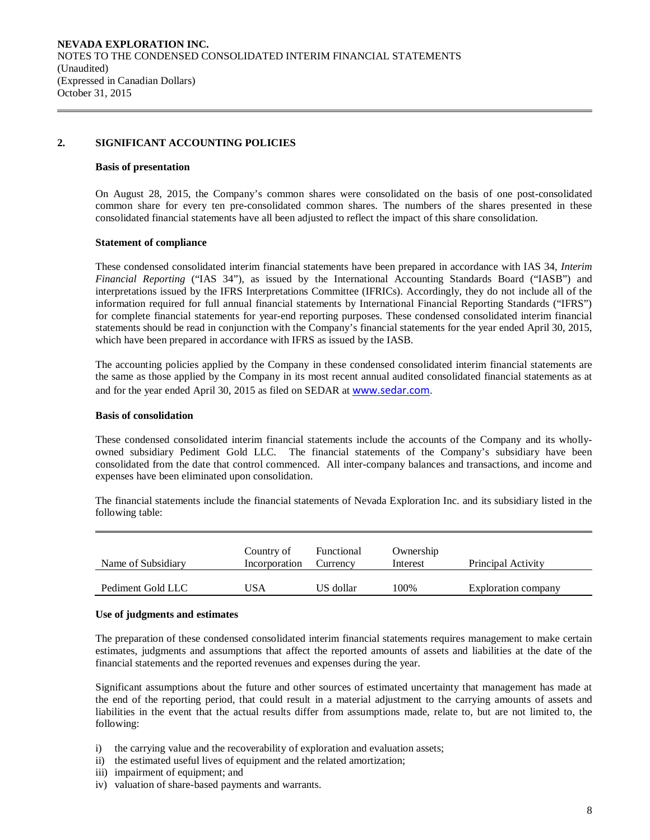### **2. SIGNIFICANT ACCOUNTING POLICIES**

#### **Basis of presentation**

On August 28, 2015, the Company's common shares were consolidated on the basis of one post-consolidated common share for every ten pre-consolidated common shares. The numbers of the shares presented in these consolidated financial statements have all been adjusted to reflect the impact of this share consolidation.

### **Statement of compliance**

These condensed consolidated interim financial statements have been prepared in accordance with IAS 34, *Interim Financial Reporting* ("IAS 34"), as issued by the International Accounting Standards Board ("IASB") and interpretations issued by the IFRS Interpretations Committee (IFRICs). Accordingly, they do not include all of the information required for full annual financial statements by International Financial Reporting Standards ("IFRS") for complete financial statements for year-end reporting purposes. These condensed consolidated interim financial statements should be read in conjunction with the Company's financial statements for the year ended April 30, 2015, which have been prepared in accordance with IFRS as issued by the IASB.

The accounting policies applied by the Company in these condensed consolidated interim financial statements are the same as those applied by the Company in its most recent annual audited consolidated financial statements as at and for the year ended April 30, 2015 as filed on SEDAR at [www.sedar.com](http://www.sedar.com/).

#### **Basis of consolidation**

These condensed consolidated interim financial statements include the accounts of the Company and its whollyowned subsidiary Pediment Gold LLC. The financial statements of the Company's subsidiary have been consolidated from the date that control commenced. All inter-company balances and transactions, and income and expenses have been eliminated upon consolidation.

The financial statements include the financial statements of Nevada Exploration Inc. and its subsidiary listed in the following table:

| Name of Subsidiary | Country of<br>Incorporation | Functional<br>Currency | Ownership<br>Interest | Principal Activity  |
|--------------------|-----------------------------|------------------------|-----------------------|---------------------|
| Pediment Gold LLC  | 'JSA                        | US dollar              | 100%                  | Exploration company |

#### **Use of judgments and estimates**

The preparation of these condensed consolidated interim financial statements requires management to make certain estimates, judgments and assumptions that affect the reported amounts of assets and liabilities at the date of the financial statements and the reported revenues and expenses during the year.

Significant assumptions about the future and other sources of estimated uncertainty that management has made at the end of the reporting period, that could result in a material adjustment to the carrying amounts of assets and liabilities in the event that the actual results differ from assumptions made, relate to, but are not limited to, the following:

- i) the carrying value and the recoverability of exploration and evaluation assets;
- ii) the estimated useful lives of equipment and the related amortization;
- iii) impairment of equipment; and
- iv) valuation of share-based payments and warrants.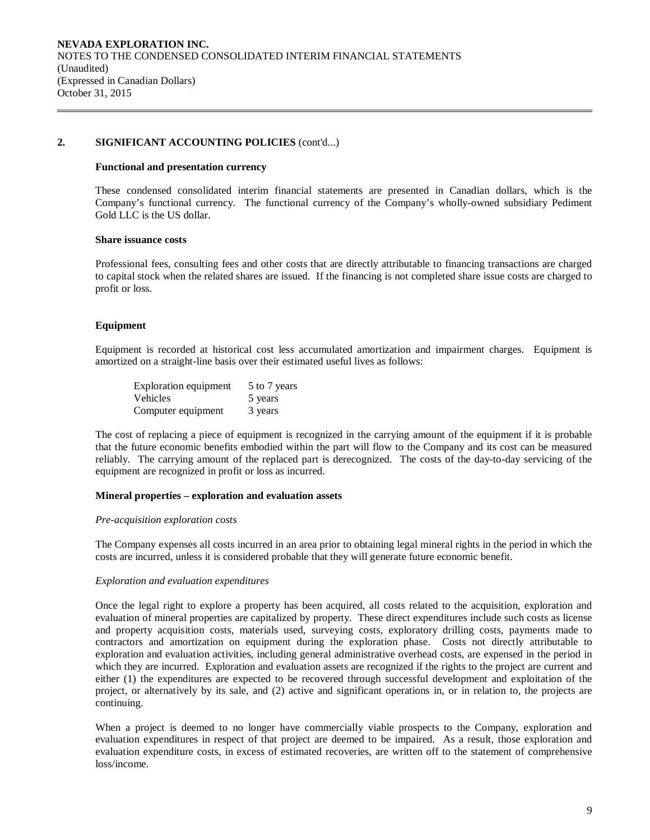#### **Functional and presentation currency**

These condensed consolidated interim financial statements are presented in Canadian dollars, which is the Company's functional currency. The functional currency of the Company's wholly-owned subsidiary Pediment Gold LLC is the US dollar.

#### **Share issuance costs**

Professional fees, consulting fees and other costs that are directly attributable to financing transactions are charged to capital stock when the related shares are issued. If the financing is not completed share issue costs are charged to profit or loss.

### **Equipment**

Equipment is recorded at historical cost less accumulated amortization and impairment charges. Equipment is amortized on a straight-line basis over their estimated useful lives as follows:

| <b>Exploration equipment</b> | 5 to 7 years |
|------------------------------|--------------|
| <b>Vehicles</b>              | 5 years      |
| Computer equipment           | 3 years      |

The cost of replacing a piece of equipment is recognized in the carrying amount of the equipment if it is probable that the future economic benefits embodied within the part will flow to the Company and its cost can be measured reliably. The carrying amount of the replaced part is derecognized. The costs of the day-to-day servicing of the equipment are recognized in profit or loss as incurred.

#### **Mineral properties – exploration and evaluation assets**

#### *Pre-acquisition exploration costs*

The Company expenses all costs incurred in an area prior to obtaining legal mineral rights in the period in which the costs are incurred, unless it is considered probable that they will generate future economic benefit.

#### *Exploration and evaluation expenditures*

Once the legal right to explore a property has been acquired, all costs related to the acquisition, exploration and evaluation of mineral properties are capitalized by property. These direct expenditures include such costs as license and property acquisition costs, materials used, surveying costs, exploratory drilling costs, payments made to contractors and amortization on equipment during the exploration phase. Costs not directly attributable to exploration and evaluation activities, including general administrative overhead costs, are expensed in the period in which they are incurred. Exploration and evaluation assets are recognized if the rights to the project are current and either (1) the expenditures are expected to be recovered through successful development and exploitation of the project, or alternatively by its sale, and (2) active and significant operations in, or in relation to, the projects are continuing.

When a project is deemed to no longer have commercially viable prospects to the Company, exploration and evaluation expenditures in respect of that project are deemed to be impaired. As a result, those exploration and evaluation expenditure costs, in excess of estimated recoveries, are written off to the statement of comprehensive loss/income.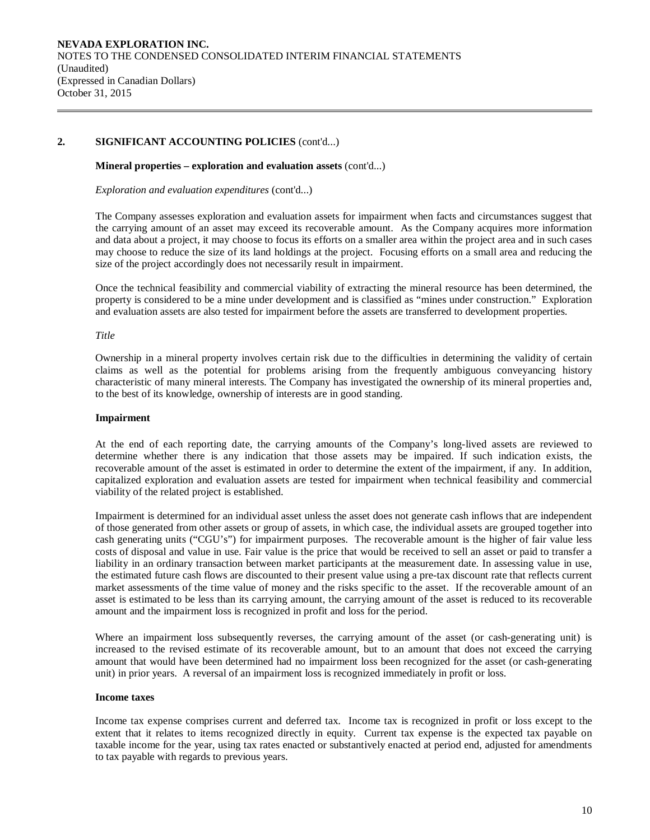#### **Mineral properties – exploration and evaluation assets** (cont'd...)

*Exploration and evaluation expenditures* (cont'd...)

The Company assesses exploration and evaluation assets for impairment when facts and circumstances suggest that the carrying amount of an asset may exceed its recoverable amount. As the Company acquires more information and data about a project, it may choose to focus its efforts on a smaller area within the project area and in such cases may choose to reduce the size of its land holdings at the project. Focusing efforts on a small area and reducing the size of the project accordingly does not necessarily result in impairment.

Once the technical feasibility and commercial viability of extracting the mineral resource has been determined, the property is considered to be a mine under development and is classified as "mines under construction." Exploration and evaluation assets are also tested for impairment before the assets are transferred to development properties.

#### *Title*

Ownership in a mineral property involves certain risk due to the difficulties in determining the validity of certain claims as well as the potential for problems arising from the frequently ambiguous conveyancing history characteristic of many mineral interests. The Company has investigated the ownership of its mineral properties and, to the best of its knowledge, ownership of interests are in good standing.

#### **Impairment**

At the end of each reporting date, the carrying amounts of the Company's long-lived assets are reviewed to determine whether there is any indication that those assets may be impaired. If such indication exists, the recoverable amount of the asset is estimated in order to determine the extent of the impairment, if any. In addition, capitalized exploration and evaluation assets are tested for impairment when technical feasibility and commercial viability of the related project is established.

Impairment is determined for an individual asset unless the asset does not generate cash inflows that are independent of those generated from other assets or group of assets, in which case, the individual assets are grouped together into cash generating units ("CGU's") for impairment purposes. The recoverable amount is the higher of fair value less costs of disposal and value in use. Fair value is the price that would be received to sell an asset or paid to transfer a liability in an ordinary transaction between market participants at the measurement date. In assessing value in use, the estimated future cash flows are discounted to their present value using a pre-tax discount rate that reflects current market assessments of the time value of money and the risks specific to the asset. If the recoverable amount of an asset is estimated to be less than its carrying amount, the carrying amount of the asset is reduced to its recoverable amount and the impairment loss is recognized in profit and loss for the period.

Where an impairment loss subsequently reverses, the carrying amount of the asset (or cash-generating unit) is increased to the revised estimate of its recoverable amount, but to an amount that does not exceed the carrying amount that would have been determined had no impairment loss been recognized for the asset (or cash-generating unit) in prior years. A reversal of an impairment loss is recognized immediately in profit or loss.

#### **Income taxes**

Income tax expense comprises current and deferred tax. Income tax is recognized in profit or loss except to the extent that it relates to items recognized directly in equity. Current tax expense is the expected tax payable on taxable income for the year, using tax rates enacted or substantively enacted at period end, adjusted for amendments to tax payable with regards to previous years.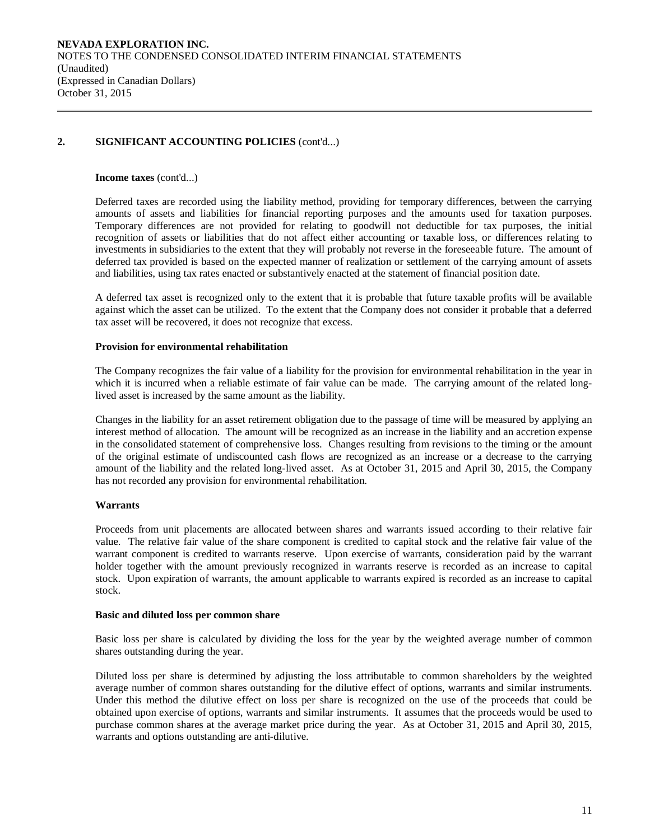#### **Income taxes** (cont'd...)

Deferred taxes are recorded using the liability method, providing for temporary differences, between the carrying amounts of assets and liabilities for financial reporting purposes and the amounts used for taxation purposes. Temporary differences are not provided for relating to goodwill not deductible for tax purposes, the initial recognition of assets or liabilities that do not affect either accounting or taxable loss, or differences relating to investments in subsidiaries to the extent that they will probably not reverse in the foreseeable future. The amount of deferred tax provided is based on the expected manner of realization or settlement of the carrying amount of assets and liabilities, using tax rates enacted or substantively enacted at the statement of financial position date.

A deferred tax asset is recognized only to the extent that it is probable that future taxable profits will be available against which the asset can be utilized. To the extent that the Company does not consider it probable that a deferred tax asset will be recovered, it does not recognize that excess.

### **Provision for environmental rehabilitation**

The Company recognizes the fair value of a liability for the provision for environmental rehabilitation in the year in which it is incurred when a reliable estimate of fair value can be made. The carrying amount of the related longlived asset is increased by the same amount as the liability.

Changes in the liability for an asset retirement obligation due to the passage of time will be measured by applying an interest method of allocation. The amount will be recognized as an increase in the liability and an accretion expense in the consolidated statement of comprehensive loss. Changes resulting from revisions to the timing or the amount of the original estimate of undiscounted cash flows are recognized as an increase or a decrease to the carrying amount of the liability and the related long-lived asset. As at October 31, 2015 and April 30, 2015, the Company has not recorded any provision for environmental rehabilitation.

### **Warrants**

Proceeds from unit placements are allocated between shares and warrants issued according to their relative fair value. The relative fair value of the share component is credited to capital stock and the relative fair value of the warrant component is credited to warrants reserve. Upon exercise of warrants, consideration paid by the warrant holder together with the amount previously recognized in warrants reserve is recorded as an increase to capital stock. Upon expiration of warrants, the amount applicable to warrants expired is recorded as an increase to capital stock.

#### **Basic and diluted loss per common share**

Basic loss per share is calculated by dividing the loss for the year by the weighted average number of common shares outstanding during the year.

Diluted loss per share is determined by adjusting the loss attributable to common shareholders by the weighted average number of common shares outstanding for the dilutive effect of options, warrants and similar instruments. Under this method the dilutive effect on loss per share is recognized on the use of the proceeds that could be obtained upon exercise of options, warrants and similar instruments. It assumes that the proceeds would be used to purchase common shares at the average market price during the year. As at October 31, 2015 and April 30, 2015, warrants and options outstanding are anti-dilutive.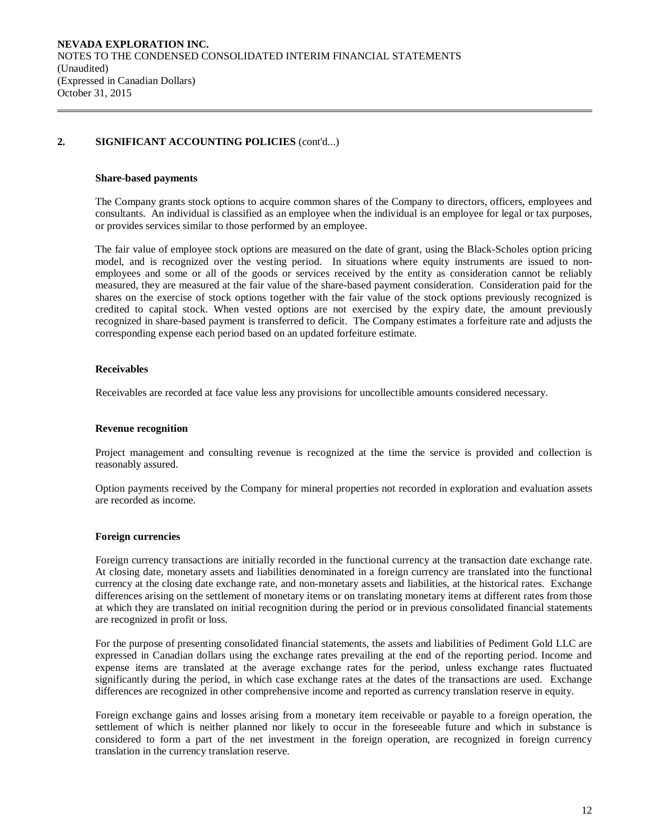#### **Share-based payments**

The Company grants stock options to acquire common shares of the Company to directors, officers, employees and consultants. An individual is classified as an employee when the individual is an employee for legal or tax purposes, or provides services similar to those performed by an employee.

The fair value of employee stock options are measured on the date of grant, using the Black-Scholes option pricing model, and is recognized over the vesting period. In situations where equity instruments are issued to nonemployees and some or all of the goods or services received by the entity as consideration cannot be reliably measured, they are measured at the fair value of the share-based payment consideration. Consideration paid for the shares on the exercise of stock options together with the fair value of the stock options previously recognized is credited to capital stock. When vested options are not exercised by the expiry date, the amount previously recognized in share-based payment is transferred to deficit. The Company estimates a forfeiture rate and adjusts the corresponding expense each period based on an updated forfeiture estimate.

#### **Receivables**

Receivables are recorded at face value less any provisions for uncollectible amounts considered necessary.

#### **Revenue recognition**

Project management and consulting revenue is recognized at the time the service is provided and collection is reasonably assured.

Option payments received by the Company for mineral properties not recorded in exploration and evaluation assets are recorded as income.

#### **Foreign currencies**

Foreign currency transactions are initially recorded in the functional currency at the transaction date exchange rate. At closing date, monetary assets and liabilities denominated in a foreign currency are translated into the functional currency at the closing date exchange rate, and non-monetary assets and liabilities, at the historical rates. Exchange differences arising on the settlement of monetary items or on translating monetary items at different rates from those at which they are translated on initial recognition during the period or in previous consolidated financial statements are recognized in profit or loss.

For the purpose of presenting consolidated financial statements, the assets and liabilities of Pediment Gold LLC are expressed in Canadian dollars using the exchange rates prevailing at the end of the reporting period. Income and expense items are translated at the average exchange rates for the period, unless exchange rates fluctuated significantly during the period, in which case exchange rates at the dates of the transactions are used. Exchange differences are recognized in other comprehensive income and reported as currency translation reserve in equity.

Foreign exchange gains and losses arising from a monetary item receivable or payable to a foreign operation, the settlement of which is neither planned nor likely to occur in the foreseeable future and which in substance is considered to form a part of the net investment in the foreign operation, are recognized in foreign currency translation in the currency translation reserve.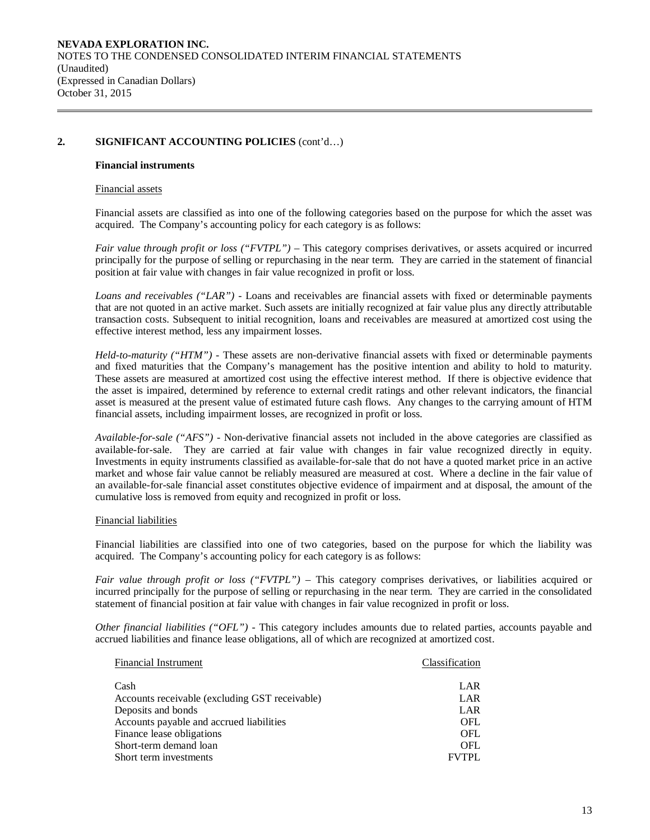#### **Financial instruments**

#### Financial assets

Financial assets are classified as into one of the following categories based on the purpose for which the asset was acquired. The Company's accounting policy for each category is as follows:

*Fair value through profit or loss ("FVTPL")* – This category comprises derivatives, or assets acquired or incurred principally for the purpose of selling or repurchasing in the near term. They are carried in the statement of financial position at fair value with changes in fair value recognized in profit or loss.

*Loans and receivables ("LAR") -* Loans and receivables are financial assets with fixed or determinable payments that are not quoted in an active market. Such assets are initially recognized at fair value plus any directly attributable transaction costs. Subsequent to initial recognition, loans and receivables are measured at amortized cost using the effective interest method, less any impairment losses.

*Held-to-maturity ("HTM") -* These assets are non-derivative financial assets with fixed or determinable payments and fixed maturities that the Company's management has the positive intention and ability to hold to maturity. These assets are measured at amortized cost using the effective interest method. If there is objective evidence that the asset is impaired, determined by reference to external credit ratings and other relevant indicators, the financial asset is measured at the present value of estimated future cash flows. Any changes to the carrying amount of HTM financial assets, including impairment losses, are recognized in profit or loss.

*Available-for-sale ("AFS") -* Non-derivative financial assets not included in the above categories are classified as available-for-sale. They are carried at fair value with changes in fair value recognized directly in equity. Investments in equity instruments classified as available-for-sale that do not have a quoted market price in an active market and whose fair value cannot be reliably measured are measured at cost. Where a decline in the fair value of an available-for-sale financial asset constitutes objective evidence of impairment and at disposal, the amount of the cumulative loss is removed from equity and recognized in profit or loss.

#### Financial liabilities

Financial liabilities are classified into one of two categories, based on the purpose for which the liability was acquired. The Company's accounting policy for each category is as follows:

*Fair value through profit or loss ("FVTPL")* – This category comprises derivatives, or liabilities acquired or incurred principally for the purpose of selling or repurchasing in the near term. They are carried in the consolidated statement of financial position at fair value with changes in fair value recognized in profit or loss.

*Other financial liabilities ("OFL") -* This category includes amounts due to related parties, accounts payable and accrued liabilities and finance lease obligations, all of which are recognized at amortized cost.

| <b>Financial Instrument</b>                    | Classification |
|------------------------------------------------|----------------|
|                                                |                |
| Cash                                           | LAR            |
| Accounts receivable (excluding GST receivable) | LAR            |
| Deposits and bonds                             | LAR            |
| Accounts payable and accrued liabilities       | OFL            |
| Finance lease obligations                      | OFL            |
| Short-term demand loan                         | OFL            |
| Short term investments                         | <b>FVTPL</b>   |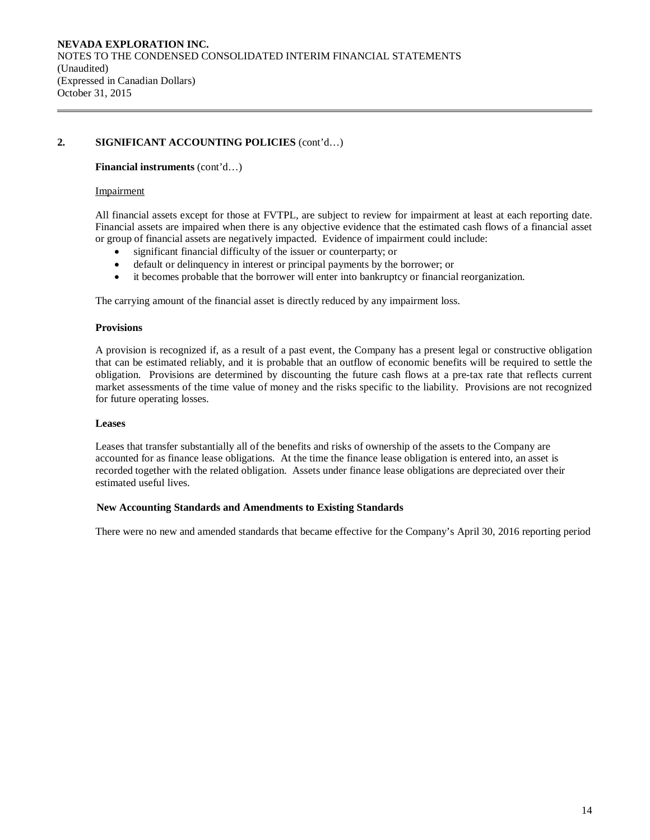#### **Financial instruments** (cont'd…)

#### Impairment

All financial assets except for those at FVTPL, are subject to review for impairment at least at each reporting date. Financial assets are impaired when there is any objective evidence that the estimated cash flows of a financial asset or group of financial assets are negatively impacted. Evidence of impairment could include:

- significant financial difficulty of the issuer or counterparty; or
- default or delinquency in interest or principal payments by the borrower; or
- it becomes probable that the borrower will enter into bankruptcy or financial reorganization.

The carrying amount of the financial asset is directly reduced by any impairment loss.

#### **Provisions**

A provision is recognized if, as a result of a past event, the Company has a present legal or constructive obligation that can be estimated reliably, and it is probable that an outflow of economic benefits will be required to settle the obligation. Provisions are determined by discounting the future cash flows at a pre-tax rate that reflects current market assessments of the time value of money and the risks specific to the liability. Provisions are not recognized for future operating losses.

#### **Leases**

Leases that transfer substantially all of the benefits and risks of ownership of the assets to the Company are accounted for as finance lease obligations. At the time the finance lease obligation is entered into, an asset is recorded together with the related obligation. Assets under finance lease obligations are depreciated over their estimated useful lives.

#### **New Accounting Standards and Amendments to Existing Standards**

There were no new and amended standards that became effective for the Company's April 30, 2016 reporting period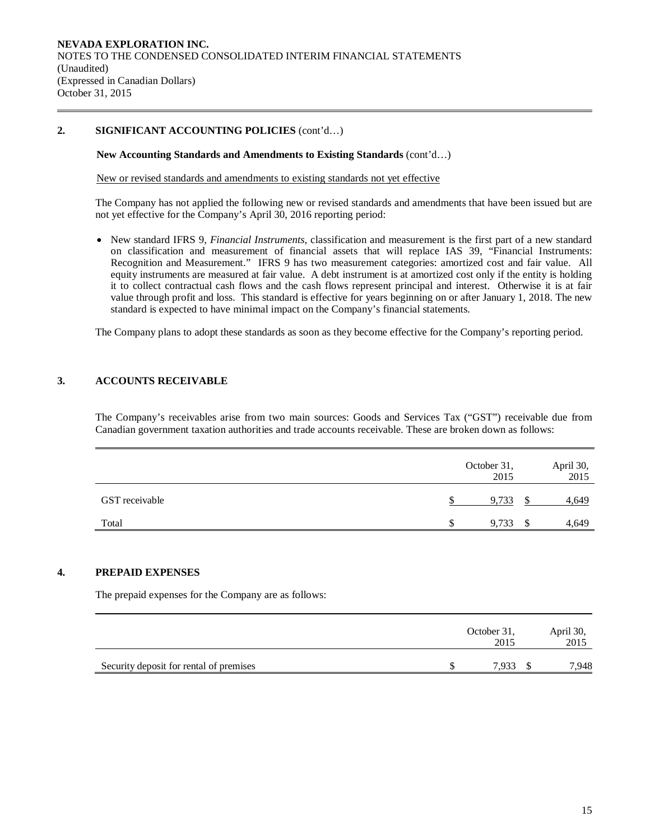### **New Accounting Standards and Amendments to Existing Standards** (cont'd…)

New or revised standards and amendments to existing standards not yet effective

The Company has not applied the following new or revised standards and amendments that have been issued but are not yet effective for the Company's April 30, 2016 reporting period:

• New standard IFRS 9, *Financial Instruments*, classification and measurement is the first part of a new standard on classification and measurement of financial assets that will replace IAS 39, "Financial Instruments: Recognition and Measurement." IFRS 9 has two measurement categories: amortized cost and fair value. All equity instruments are measured at fair value. A debt instrument is at amortized cost only if the entity is holding it to collect contractual cash flows and the cash flows represent principal and interest. Otherwise it is at fair value through profit and loss. This standard is effective for years beginning on or after January 1, 2018. The new standard is expected to have minimal impact on the Company's financial statements.

The Company plans to adopt these standards as soon as they become effective for the Company's reporting period.

### **3. ACCOUNTS RECEIVABLE**

The Company's receivables arise from two main sources: Goods and Services Tax ("GST") receivable due from Canadian government taxation authorities and trade accounts receivable. These are broken down as follows:

|                |     | October 31,<br>2015 |   | April 30,<br>2015 |
|----------------|-----|---------------------|---|-------------------|
| GST receivable |     | 9,733               |   | 4,649             |
| Total          | \$. | 9,733               | S | 4,649             |

### **4. PREPAID EXPENSES**

The prepaid expenses for the Company are as follows:

|                                         | October 31,<br>2015 | April 30,<br>2015 |
|-----------------------------------------|---------------------|-------------------|
| Security deposit for rental of premises | 7.933               | 7,948             |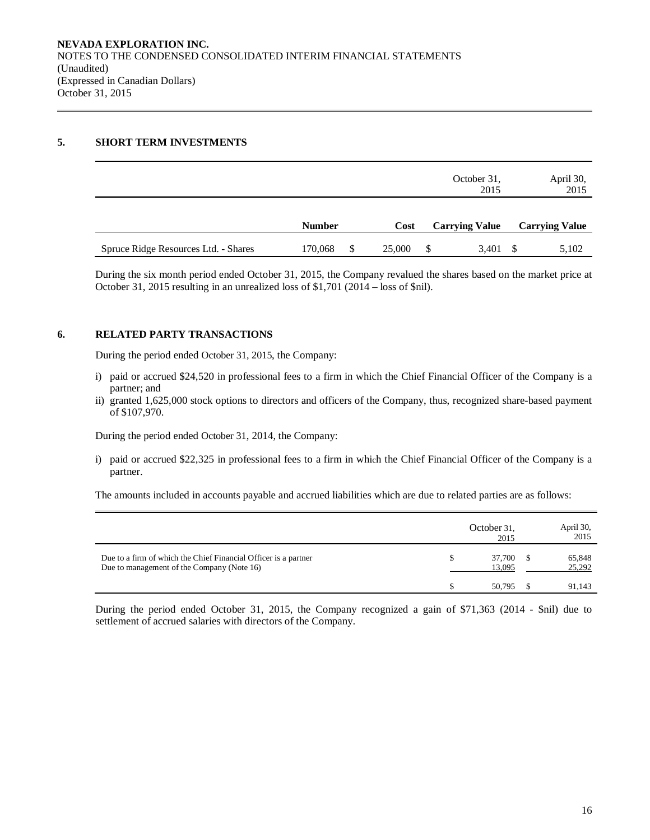### **5. SHORT TERM INVESTMENTS**

|                                      |               |              |   | October 31,<br>2015   | April 30,<br>2015     |
|--------------------------------------|---------------|--------------|---|-----------------------|-----------------------|
|                                      | <b>Number</b> | Cost         |   | <b>Carrying Value</b> | <b>Carrying Value</b> |
| Spruce Ridge Resources Ltd. - Shares | 170,068       | \$<br>25,000 | S | $3,401$ \$            | 5,102                 |

During the six month period ended October 31, 2015, the Company revalued the shares based on the market price at October 31, 2015 resulting in an unrealized loss of \$1,701 (2014 – loss of \$nil).

### **6. RELATED PARTY TRANSACTIONS**

During the period ended October 31, 2015, the Company:

- i) paid or accrued \$24,520 in professional fees to a firm in which the Chief Financial Officer of the Company is a partner; and
- ii) granted 1,625,000 stock options to directors and officers of the Company, thus, recognized share-based payment of \$107,970.

During the period ended October 31, 2014, the Company:

i) paid or accrued \$22,325 in professional fees to a firm in which the Chief Financial Officer of the Company is a partner.

The amounts included in accounts payable and accrued liabilities which are due to related parties are as follows:

|                                                                                                               |   | October 31.<br>2015 | April 30,<br>2015 |
|---------------------------------------------------------------------------------------------------------------|---|---------------------|-------------------|
| Due to a firm of which the Chief Financial Officer is a partner<br>Due to management of the Company (Note 16) | S | 37,700<br>13,095    | 65,848<br>25,292  |
|                                                                                                               |   | 50.795              | 91.143            |

During the period ended October 31, 2015, the Company recognized a gain of \$71,363 (2014 - \$nil) due to settlement of accrued salaries with directors of the Company.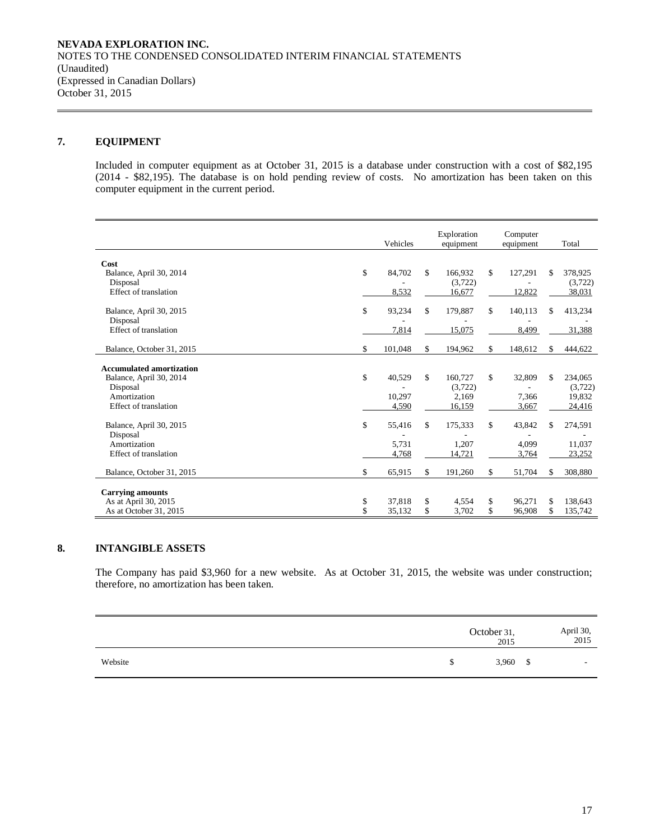## **7. EQUIPMENT**

Included in computer equipment as at October 31, 2015 is a database under construction with a cost of \$82,195 (2014 - \$82,195). The database is on hold pending review of costs. No amortization has been taken on this computer equipment in the current period.

|                                     | Vehicles      | Exploration<br>equipment | Computer<br>equipment |     | Total              |
|-------------------------------------|---------------|--------------------------|-----------------------|-----|--------------------|
|                                     |               |                          |                       |     |                    |
| Cost                                |               |                          |                       |     |                    |
| Balance, April 30, 2014<br>Disposal | \$<br>84,702  | \$<br>166,932<br>(3,722) | \$<br>127,291         | \$. | 378,925<br>(3,722) |
| Effect of translation               | 8,532         | 16,677                   | 12,822                |     | 38,031             |
|                                     |               |                          |                       |     |                    |
| Balance, April 30, 2015             | \$<br>93,234  | \$<br>179,887            | \$<br>140,113         | S.  | 413,234            |
| Disposal                            |               |                          |                       |     |                    |
| Effect of translation               | 7,814         | 15,075                   | 8,499                 |     | 31,388             |
|                                     |               |                          |                       |     |                    |
| Balance, October 31, 2015           | \$<br>101,048 | \$<br>194,962            | \$<br>148.612         | \$  | 444,622            |
| <b>Accumulated amortization</b>     |               |                          |                       |     |                    |
| Balance, April 30, 2014             | \$<br>40,529  | \$<br>160.727            | \$<br>32,809          | \$  | 234,065            |
| Disposal                            |               | (3,722)                  |                       |     | (3,722)            |
| Amortization                        | 10.297        | 2,169                    | 7.366                 |     | 19.832             |
| Effect of translation               | 4.590         | 16,159                   | 3,667                 |     | 24,416             |
|                                     |               |                          |                       |     |                    |
| Balance, April 30, 2015             | \$<br>55,416  | \$<br>175,333            | \$<br>43,842          |     | 274,591            |
| Disposal                            |               |                          |                       |     |                    |
| Amortization                        | 5,731         | 1.207                    | 4.099                 |     | 11.037             |
| Effect of translation               | 4,768         | 14,721                   | 3,764                 |     | 23,252             |
|                                     | \$            | \$<br>191,260            | \$                    | \$  | 308,880            |
| Balance, October 31, 2015           | 65,915        |                          | 51,704                |     |                    |
| <b>Carrying amounts</b>             |               |                          |                       |     |                    |
| As at April 30, 2015                | \$<br>37,818  | \$<br>4,554              | \$<br>96.271          | \$  | 138.643            |
| As at October 31, 2015              | \$<br>35,132  | \$<br>3,702              | \$<br>96,908          | \$  | 135,742            |

## **8. INTANGIBLE ASSETS**

The Company has paid \$3,960 for a new website. As at October 31, 2015, the website was under construction; therefore, no amortization has been taken.

|         |   | October 31,<br>2015 | April 30,<br>2015        |
|---------|---|---------------------|--------------------------|
| Website | S | $3,960$ \$          | $\overline{\phantom{0}}$ |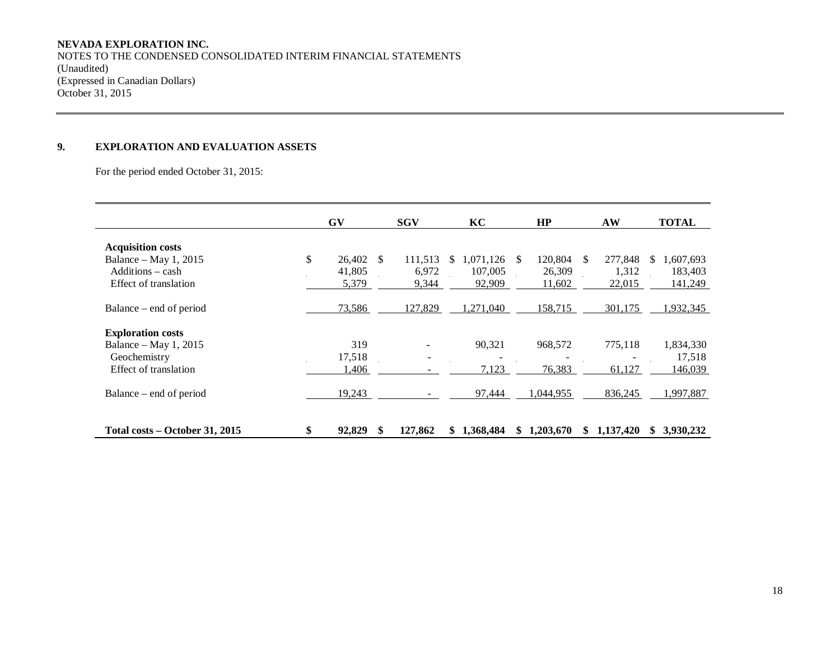# **NEVADA EXPLORATION INC.**

NOTES TO THE CONDENSED CONSOLIDATED INTERIM FINANCIAL STATEMENTS (Unaudited) (Expressed in Canadian Dollars) October 31, 2015

# **9. EXPLORATION AND EVALUATION ASSETS**

For the period ended October 31, 2015:

|                                | <b>GV</b>    |      | <b>SGV</b> | KC |           | HP  |           | AW  |           |     | <b>TOTAL</b> |
|--------------------------------|--------------|------|------------|----|-----------|-----|-----------|-----|-----------|-----|--------------|
| <b>Acquisition costs</b>       |              |      |            |    |           |     |           |     |           |     |              |
| Balance – May 1, 2015          | \$<br>26,402 | - \$ | 111,513    | S. | 1,071,126 | \$. | 120,804   | \$. | 277,848   | \$. | 1,607,693    |
| Additions – cash               | 41,805       |      | 6,972      |    | 107,005   |     | 26,309    |     | 1,312     |     | 183,403      |
| Effect of translation          | 5,379        |      | 9,344      |    | 92,909    |     | 11,602    |     | 22,015    |     | 141,249      |
| Balance – end of period        | 73,586       |      | 127,829    |    | 1,271,040 |     | 158,715   |     | 301,175   |     | 1,932,345    |
| <b>Exploration costs</b>       |              |      |            |    |           |     |           |     |           |     |              |
| Balance – May 1, 2015          | 319          |      | -          |    | 90,321    |     | 968,572   |     | 775,118   |     | 1,834,330    |
| Geochemistry                   | 17,518       |      |            |    |           |     |           |     |           |     | 17,518       |
| Effect of translation          | 1,406        |      |            |    | 7,123     |     | 76,383    |     | 61,127    |     | 146,039      |
| Balance – end of period        | 19,243       |      |            |    | 97,444    |     | 1,044,955 |     | 836,245   |     | 1,997,887    |
| Total costs - October 31, 2015 | \$<br>92,829 | \$   | 127,862    | \$ | 1,368,484 | S   | 1,203,670 | \$  | 1,137,420 | S   | 3,930,232    |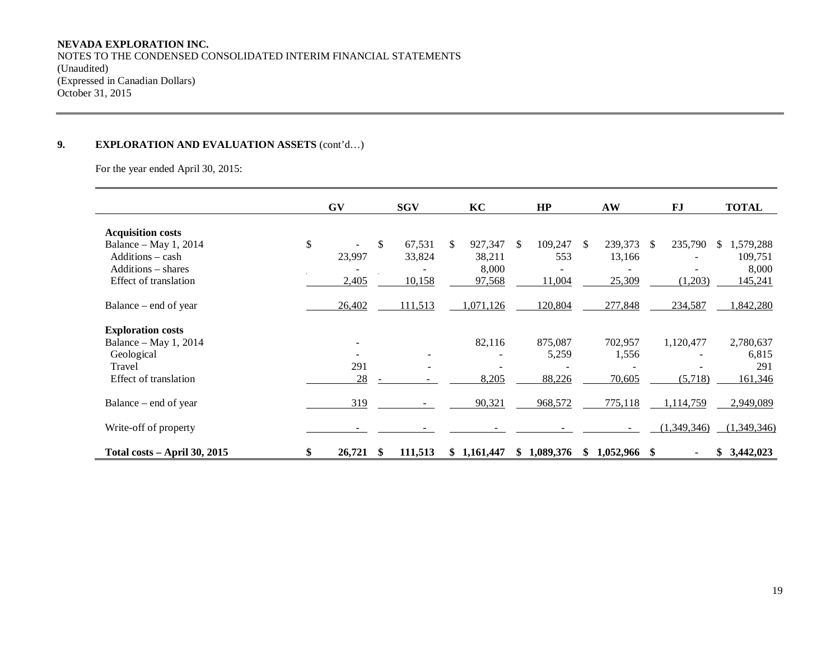## **NEVADA EXPLORATION INC.**

NOTES TO THE CONDENSED CONSOLIDATED INTERIM FINANCIAL STATEMENTS (Unaudited) (Expressed in Canadian Dollars) October 31, 2015

## **9. EXPLORATION AND EVALUATION ASSETS** (cont'd…)

For the year ended April 30, 2015:

|                                          | <b>GV</b>                |    | <b>SGV</b>               |     | KC              |               | HP          |               | AW             |    | <b>FJ</b>   | <b>TOTAL</b>     |
|------------------------------------------|--------------------------|----|--------------------------|-----|-----------------|---------------|-------------|---------------|----------------|----|-------------|------------------|
| <b>Acquisition costs</b>                 |                          |    |                          |     |                 |               |             |               |                |    |             |                  |
| Balance – May 1, 2014                    | \$                       | \$ | 67,531                   | \$. | 927,347         | <sup>\$</sup> | 109,247     | <sup>\$</sup> | 239,373        | -S | 235,790     | 1,579,288<br>\$. |
| $Additions - cash$<br>Additions – shares | 23,997                   |    | 33,824                   |     | 38,211<br>8,000 |               | 553         |               | 13,166         |    |             | 109,751<br>8,000 |
| Effect of translation                    | 2,405                    |    | 10,158                   |     | 97,568          |               | 11,004      |               | 25,309         |    | (1,203)     | 145,241          |
| Balance – end of year                    | 26,402                   |    | 111,513                  |     | 1,071,126       |               | 120,804     |               | 277,848        |    | 234,587     | 1,842,280        |
| <b>Exploration costs</b>                 |                          |    |                          |     |                 |               |             |               |                |    |             |                  |
| Balance – May 1, 2014                    | $\overline{\phantom{a}}$ |    |                          |     | 82,116          |               | 875,087     |               | 702,957        |    | 1,120,477   | 2,780,637        |
| Geological                               |                          |    | $\overline{\phantom{a}}$ |     |                 |               | 5,259       |               | 1,556          |    |             | 6,815            |
| Travel                                   | 291                      |    |                          |     |                 |               |             |               |                |    |             | 291              |
| Effect of translation                    | 28                       |    |                          |     | 8,205           |               | 88,226      |               | 70,605         |    | (5,718)     | 161,346          |
| Balance – end of year                    | 319                      |    |                          |     | 90,321          |               | 968,572     |               | 775,118        |    | 1,114,759   | 2,949,089        |
| Write-off of property                    |                          |    |                          |     |                 |               |             |               |                |    | (1,349,346) | (1,349,346)      |
| <b>Total costs – April 30, 2015</b>      | \$<br>26,721             | S  | 111,513                  |     | \$1,161,447     |               | \$1,089,376 | \$.           | $1,052,966$ \$ |    |             | \$3,442,023      |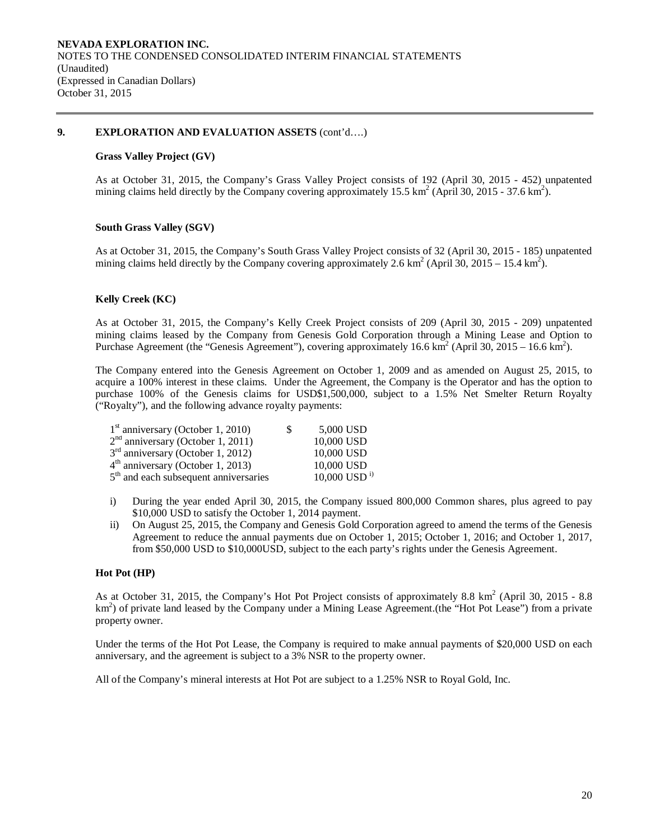#### **9. EXPLORATION AND EVALUATION ASSETS** (cont'd….)

### **Grass Valley Project (GV)**

As at October 31, 2015, the Company's Grass Valley Project consists of 192 (April 30, 2015 - 452) unpatented mining claims held directly by the Company covering approximately 15.5 km<sup>2</sup> (April 30, 2015 - 37.6 km<sup>2</sup>).

### **South Grass Valley (SGV)**

As at October 31, 2015, the Company's South Grass Valley Project consists of 32 (April 30, 2015 - 185) unpatented mining claims held directly by the Company covering approximately 2.6 km<sup>2</sup> (April 30, 2015 – 15.4 km<sup>2</sup>).

### **Kelly Creek (KC)**

As at October 31, 2015, the Company's Kelly Creek Project consists of 209 (April 30, 2015 - 209) unpatented mining claims leased by the Company from Genesis Gold Corporation through a Mining Lease and Option to Purchase Agreement (the "Genesis Agreement"), covering approximately 16.6 km<sup>2</sup> (April 30, 2015 – 16.6 km<sup>2</sup>).

The Company entered into the Genesis Agreement on October 1, 2009 and as amended on August 25, 2015, to acquire a 100% interest in these claims. Under the Agreement, the Company is the Operator and has the option to purchase 100% of the Genesis claims for USD\$1,500,000, subject to a 1.5% Net Smelter Return Royalty ("Royalty"), and the following advance royalty payments:

| $1st$ anniversary (October 1, 2010)               | S | 5,000 USD                  |
|---------------------------------------------------|---|----------------------------|
| $2nd$ anniversary (October 1, 2011)               |   | 10,000 USD                 |
| $3rd$ anniversary (October 1, 2012)               |   | 10,000 USD                 |
| $4th$ anniversary (October 1, 2013)               |   | 10,000 USD                 |
| 5 <sup>th</sup> and each subsequent anniversaries |   | $10,000$ USD <sup>i)</sup> |

- i) During the year ended April 30, 2015, the Company issued 800,000 Common shares, plus agreed to pay \$10,000 USD to satisfy the October 1, 2014 payment.
- ii) On August 25, 2015, the Company and Genesis Gold Corporation agreed to amend the terms of the Genesis Agreement to reduce the annual payments due on October 1, 2015; October 1, 2016; and October 1, 2017, from \$50,000 USD to \$10,000USD, subject to the each party's rights under the Genesis Agreement.

### **Hot Pot (HP)**

As at October 31, 2015, the Company's Hot Pot Project consists of approximately 8.8 km<sup>2</sup> (April 30, 2015 - 8.8 km<sup>2</sup>) of private land leased by the Company under a Mining Lease Agreement.(the "Hot Pot Lease") from a private property owner.

Under the terms of the Hot Pot Lease, the Company is required to make annual payments of \$20,000 USD on each anniversary, and the agreement is subject to a 3% NSR to the property owner.

All of the Company's mineral interests at Hot Pot are subject to a 1.25% NSR to Royal Gold, Inc.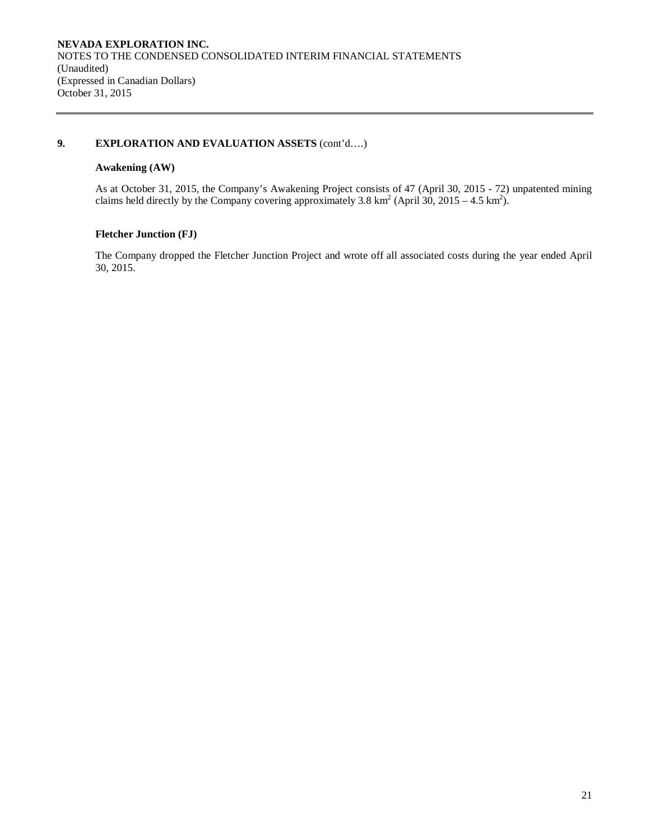### **9. EXPLORATION AND EVALUATION ASSETS** (cont'd….)

### **Awakening (AW)**

As at October 31, 2015, the Company's Awakening Project consists of 47 (April 30, 2015 - 72) unpatented mining claims held directly by the Company covering approximately 3.8 km<sup>2</sup> (April 30, 2015 – 4.5 km<sup>2</sup>).

# **Fletcher Junction (FJ)**

The Company dropped the Fletcher Junction Project and wrote off all associated costs during the year ended April 30, 2015.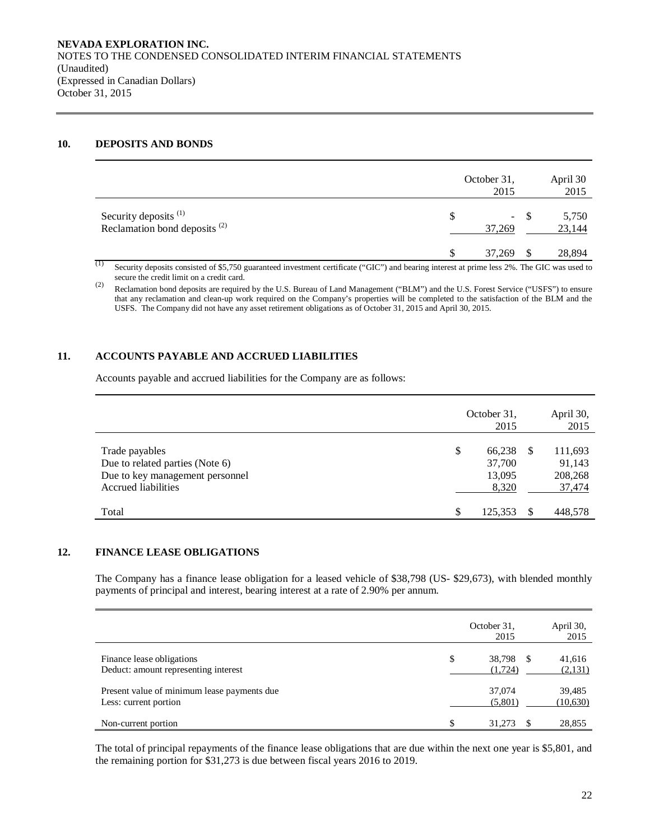### **10. DEPOSITS AND BONDS**

|                                                                              | October 31,<br>2015 |       | April 30<br>2015 |
|------------------------------------------------------------------------------|---------------------|-------|------------------|
| Security deposits <sup>(1)</sup><br>Reclamation bond deposits <sup>(2)</sup> | S<br>37,269         | $- S$ | 5,750<br>23,144  |
| (1)                                                                          | 37,269              |       | 28,894           |

<sup>(1)</sup> Security deposits consisted of \$5,750 guaranteed investment certificate ("GIC") and bearing interest at prime less 2%. The GIC was used to secure the credit limit on a credit card.

(2) Reclamation bond deposits are required by the U.S. Bureau of Land Management ("BLM") and the U.S. Forest Service ("USFS") to ensure that any reclamation and clean-up work required on the Company's properties will be completed to the satisfaction of the BLM and the USFS. The Company did not have any asset retirement obligations as of October 31, 2015 and April 30, 2015.

## **11. ACCOUNTS PAYABLE AND ACCRUED LIABILITIES**

Accounts payable and accrued liabilities for the Company are as follows:

|                                                                                                                    | October 31,<br>2015                       |     | April 30,<br>2015                      |
|--------------------------------------------------------------------------------------------------------------------|-------------------------------------------|-----|----------------------------------------|
| Trade payables<br>Due to related parties (Note 6)<br>Due to key management personnel<br><b>Accrued liabilities</b> | \$<br>66,238<br>37,700<br>13,095<br>8,320 | \$. | 111,693<br>91,143<br>208,268<br>37,474 |
| Total                                                                                                              | \$<br>125.353                             |     | 448,578                                |

### **12. FINANCE LEASE OBLIGATIONS**

The Company has a finance lease obligation for a leased vehicle of \$38,798 (US- \$29,673), with blended monthly payments of principal and interest, bearing interest at a rate of 2.90% per annum.

|                                                                      |    | October 31,<br>2015  | April 30,<br>2015  |
|----------------------------------------------------------------------|----|----------------------|--------------------|
| Finance lease obligations<br>Deduct: amount representing interest    | \$ | 38,798 \$<br>(1,724) | 41,616<br>(2,131)  |
| Present value of minimum lease payments due<br>Less: current portion |    | 37,074<br>(5,801)    | 39,485<br>(10,630) |
| Non-current portion                                                  | S  | 31,273               | 28,855             |

The total of principal repayments of the finance lease obligations that are due within the next one year is \$5,801, and the remaining portion for \$31,273 is due between fiscal years 2016 to 2019.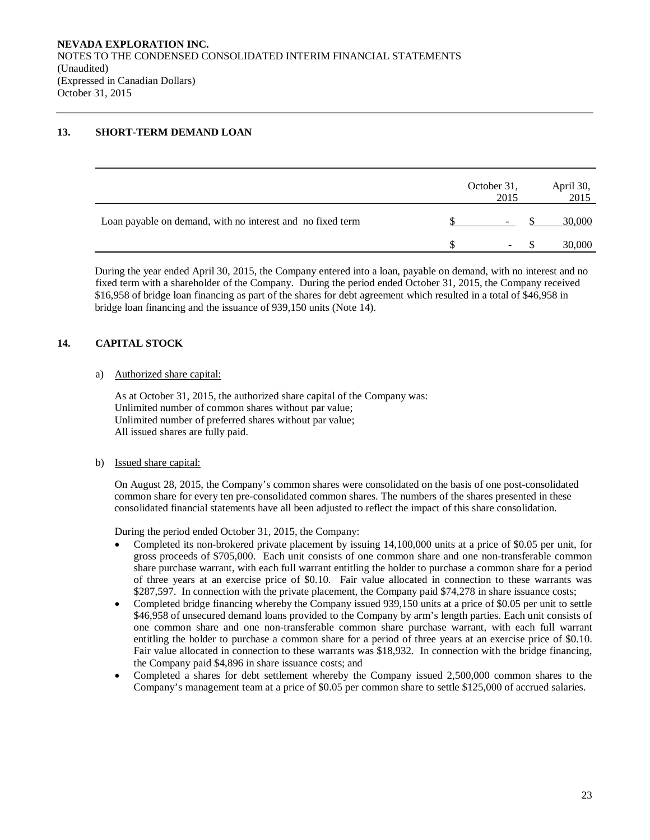### **13. SHORT-TERM DEMAND LOAN**

|                                                            | October 31,<br>2015      | April 30,<br>2015 |
|------------------------------------------------------------|--------------------------|-------------------|
| Loan payable on demand, with no interest and no fixed term | $\overline{\phantom{a}}$ | 30,000            |
|                                                            | $\sim$                   | 30,000            |

During the year ended April 30, 2015, the Company entered into a loan, payable on demand, with no interest and no fixed term with a shareholder of the Company. During the period ended October 31, 2015, the Company received \$16,958 of bridge loan financing as part of the shares for debt agreement which resulted in a total of \$46,958 in bridge loan financing and the issuance of 939,150 units (Note 14).

# **14. CAPITAL STOCK**

### a) Authorized share capital:

As at October 31, 2015, the authorized share capital of the Company was: Unlimited number of common shares without par value; Unlimited number of preferred shares without par value; All issued shares are fully paid.

### b) Issued share capital:

On August 28, 2015, the Company's common shares were consolidated on the basis of one post-consolidated common share for every ten pre-consolidated common shares. The numbers of the shares presented in these consolidated financial statements have all been adjusted to reflect the impact of this share consolidation.

During the period ended October 31, 2015, the Company:

- Completed its non-brokered private placement by issuing 14,100,000 units at a price of \$0.05 per unit, for gross proceeds of \$705,000. Each unit consists of one common share and one non-transferable common share purchase warrant, with each full warrant entitling the holder to purchase a common share for a period of three years at an exercise price of \$0.10. Fair value allocated in connection to these warrants was \$287,597. In connection with the private placement, the Company paid \$74,278 in share issuance costs;
- Completed bridge financing whereby the Company issued 939,150 units at a price of \$0.05 per unit to settle \$46,958 of unsecured demand loans provided to the Company by arm's length parties. Each unit consists of one common share and one non-transferable common share purchase warrant, with each full warrant entitling the holder to purchase a common share for a period of three years at an exercise price of \$0.10. Fair value allocated in connection to these warrants was \$18,932. In connection with the bridge financing, the Company paid \$4,896 in share issuance costs; and
- Completed a shares for debt settlement whereby the Company issued 2,500,000 common shares to the Company's management team at a price of \$0.05 per common share to settle \$125,000 of accrued salaries.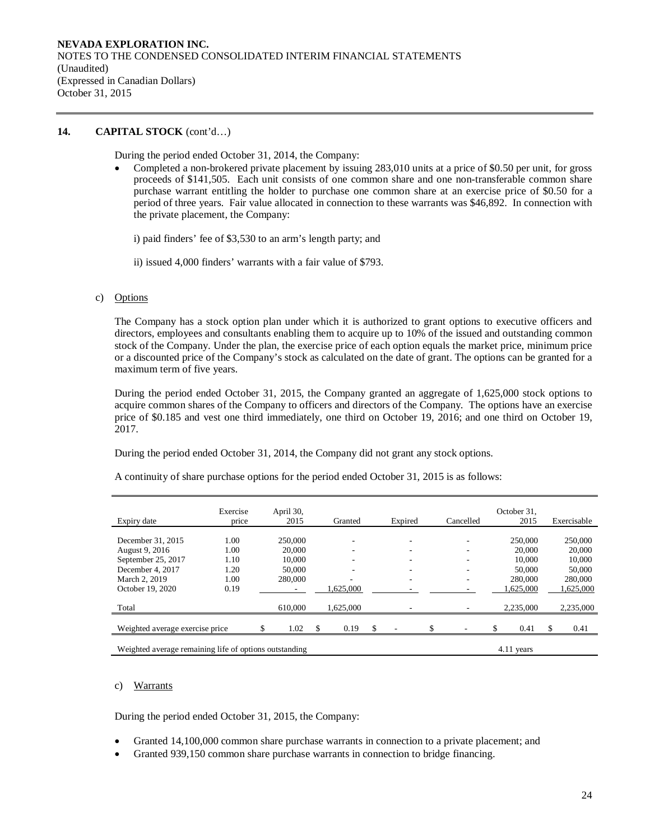#### **14. CAPITAL STOCK** (cont'd…)

During the period ended October 31, 2014, the Company:

• Completed a non-brokered private placement by issuing 283,010 units at a price of \$0.50 per unit, for gross proceeds of \$141,505. Each unit consists of one common share and one non-transferable common share purchase warrant entitling the holder to purchase one common share at an exercise price of \$0.50 for a period of three years. Fair value allocated in connection to these warrants was \$46,892. In connection with the private placement, the Company:

i) paid finders' fee of \$3,530 to an arm's length party; and

ii) issued 4,000 finders' warrants with a fair value of \$793.

#### c) Options

The Company has a stock option plan under which it is authorized to grant options to executive officers and directors, employees and consultants enabling them to acquire up to 10% of the issued and outstanding common stock of the Company. Under the plan, the exercise price of each option equals the market price, minimum price or a discounted price of the Company's stock as calculated on the date of grant. The options can be granted for a maximum term of five years.

During the period ended October 31, 2015, the Company granted an aggregate of 1,625,000 stock options to acquire common shares of the Company to officers and directors of the Company. The options have an exercise price of \$0.185 and vest one third immediately, one third on October 19, 2016; and one third on October 19, 2017.

During the period ended October 31, 2014, the Company did not grant any stock options.

| Expiry date                                            | Exercise<br>price | April 30,<br>2015 | Granted    | Expired  | Cancelled | October 31.<br>2015 | Exercisable |
|--------------------------------------------------------|-------------------|-------------------|------------|----------|-----------|---------------------|-------------|
| December 31, 2015                                      | 1.00              | 250,000           | ۰          |          | ۰         | 250,000             | 250,000     |
| August 9, 2016                                         | 1.00              | 20,000            | ۰          |          | ۰         | 20,000              | 20,000      |
| September 25, 2017                                     | 1.10              | 10.000            |            |          |           | 10,000              | 10,000      |
| December 4, 2017                                       | 1.20              | 50,000            | ۰          |          | ۰         | 50,000              | 50,000      |
| March 2, 2019                                          | 1.00              | 280,000           |            |          | ۰         | 280,000             | 280,000     |
| October 19, 2020                                       | 0.19              |                   | 1.625.000  |          |           | .625,000            | 1,625,000   |
| Total                                                  |                   | 610,000           | 1,625,000  |          |           | 2,235,000           | 2,235,000   |
| Weighted average exercise price                        |                   | \$<br>1.02        | \$<br>0.19 | \$<br>۰. | ۰         | \$<br>0.41          | \$<br>0.41  |
| Weighted average remaining life of options outstanding |                   |                   |            |          |           | 4.11 years          |             |

A continuity of share purchase options for the period ended October 31, 2015 is as follows:

#### c) Warrants

During the period ended October 31, 2015, the Company:

- Granted 14,100,000 common share purchase warrants in connection to a private placement; and
- Granted 939,150 common share purchase warrants in connection to bridge financing.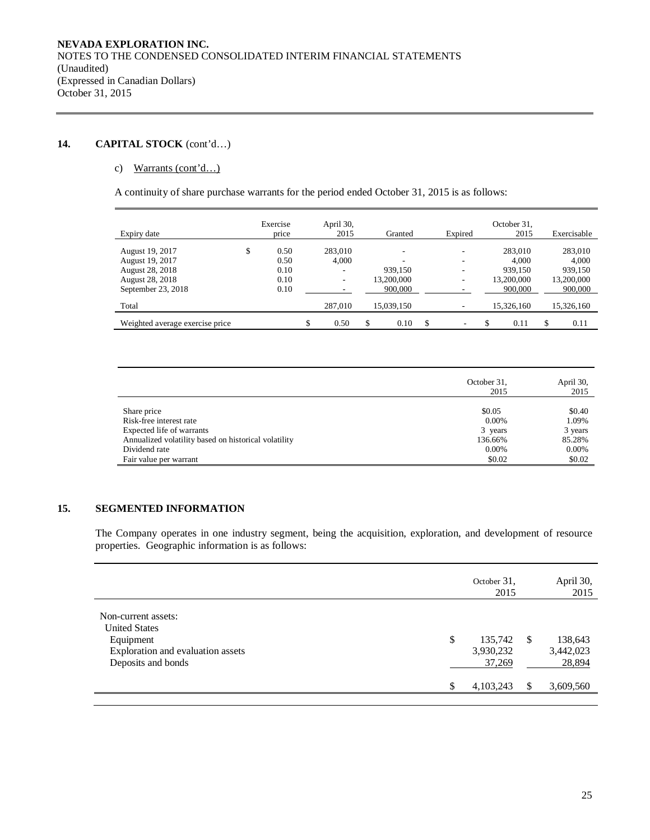# **14. CAPITAL STOCK** (cont'd…)

### c) Warrants (cont'd…)

A continuity of share purchase warrants for the period ended October 31, 2015 is as follows:

| Expiry date                     | Exercise<br>price | April 30,<br>2015 |     | Granted    | Expired                  | October 31.<br>2015 |   | Exercisable |
|---------------------------------|-------------------|-------------------|-----|------------|--------------------------|---------------------|---|-------------|
| August 19, 2017                 | \$<br>0.50        | 283,010           |     |            | $\overline{\phantom{a}}$ | 283,010             |   | 283,010     |
| August 19, 2017                 | 0.50              | 4.000             |     |            |                          | 4.000               |   | 4.000       |
| August 28, 2018                 | 0.10              | ۰                 |     | 939.150    | ٠                        | 939.150             |   | 939,150     |
| August 28, 2018                 | 0.10              | ٠.                |     | 13,200,000 | ۰.                       | 13.200.000          |   | 13,200,000  |
| September 23, 2018              | 0.10              |                   |     | 900,000    |                          | 900,000             |   | 900,000     |
| Total                           |                   | 287,010           |     | 15.039.150 |                          | 15,326,160          |   | 15,326,160  |
| Weighted average exercise price |                   | \$<br>0.50        | \$. | 0.10       | \$<br>٠                  | \$<br>0.11          | S | 0.11        |

|                                                      | October 31,<br>2015 | April 30,<br>2015 |
|------------------------------------------------------|---------------------|-------------------|
| Share price                                          | \$0.05              | \$0.40            |
| Risk-free interest rate                              | $0.00\%$            | 1.09%             |
| Expected life of warrants                            | 3 years             | 3 years           |
| Annualized volatility based on historical volatility | 136.66%             | 85.28%            |
| Dividend rate                                        | $0.00\%$            | 0.00%             |
| Fair value per warrant                               | \$0.02              | \$0.02            |

## **15. SEGMENTED INFORMATION**

The Company operates in one industry segment, being the acquisition, exploration, and development of resource properties. Geographic information is as follows:

|                                                                                                                     |    |                                |    | 2015                           |
|---------------------------------------------------------------------------------------------------------------------|----|--------------------------------|----|--------------------------------|
| Non-current assets:<br><b>United States</b><br>Equipment<br>Exploration and evaluation assets<br>Deposits and bonds | \$ | 135,742<br>3,930,232<br>37,269 | -S | 138,643<br>3,442,023<br>28,894 |
|                                                                                                                     | ¢  | 4,103,243                      | S  | 3,609,560                      |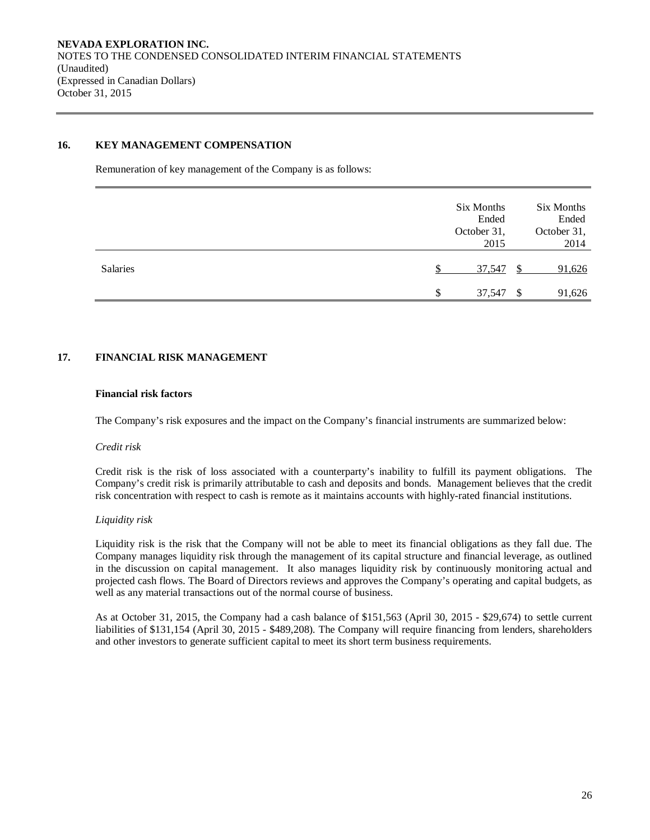### **16. KEY MANAGEMENT COMPENSATION**

Remuneration of key management of the Company is as follows:

|          | Six Months<br>Ended<br>October 31,<br>2015 |               | Six Months<br>Ended<br>October 31,<br>2014 |
|----------|--------------------------------------------|---------------|--------------------------------------------|
| Salaries | 37,547                                     | <sup>\$</sup> | 91,626                                     |
|          | \$<br>37,547                               | <sup>\$</sup> | 91,626                                     |

## **17. FINANCIAL RISK MANAGEMENT**

#### **Financial risk factors**

The Company's risk exposures and the impact on the Company's financial instruments are summarized below:

#### *Credit risk*

Credit risk is the risk of loss associated with a counterparty's inability to fulfill its payment obligations. The Company's credit risk is primarily attributable to cash and deposits and bonds. Management believes that the credit risk concentration with respect to cash is remote as it maintains accounts with highly-rated financial institutions.

### *Liquidity risk*

Liquidity risk is the risk that the Company will not be able to meet its financial obligations as they fall due. The Company manages liquidity risk through the management of its capital structure and financial leverage, as outlined in the discussion on capital management. It also manages liquidity risk by continuously monitoring actual and projected cash flows. The Board of Directors reviews and approves the Company's operating and capital budgets, as well as any material transactions out of the normal course of business.

As at October 31, 2015, the Company had a cash balance of \$151,563 (April 30, 2015 - \$29,674) to settle current liabilities of \$131,154 (April 30, 2015 - \$489,208). The Company will require financing from lenders, shareholders and other investors to generate sufficient capital to meet its short term business requirements.